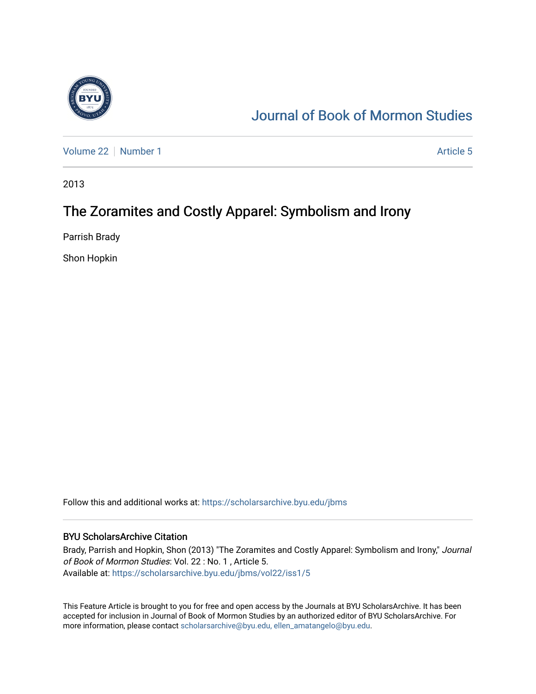

# [Journal of Book of Mormon Studies](https://scholarsarchive.byu.edu/jbms)

[Volume 22](https://scholarsarchive.byu.edu/jbms/vol22) [Number 1](https://scholarsarchive.byu.edu/jbms/vol22/iss1) Article 5

2013

# The Zoramites and Costly Apparel: Symbolism and Irony

Parrish Brady

Shon Hopkin

Follow this and additional works at: [https://scholarsarchive.byu.edu/jbms](https://scholarsarchive.byu.edu/jbms?utm_source=scholarsarchive.byu.edu%2Fjbms%2Fvol22%2Fiss1%2F5&utm_medium=PDF&utm_campaign=PDFCoverPages) 

# BYU ScholarsArchive Citation

Brady, Parrish and Hopkin, Shon (2013) "The Zoramites and Costly Apparel: Symbolism and Irony," Journal of Book of Mormon Studies: Vol. 22 : No. 1 , Article 5. Available at: [https://scholarsarchive.byu.edu/jbms/vol22/iss1/5](https://scholarsarchive.byu.edu/jbms/vol22/iss1/5?utm_source=scholarsarchive.byu.edu%2Fjbms%2Fvol22%2Fiss1%2F5&utm_medium=PDF&utm_campaign=PDFCoverPages) 

This Feature Article is brought to you for free and open access by the Journals at BYU ScholarsArchive. It has been accepted for inclusion in Journal of Book of Mormon Studies by an authorized editor of BYU ScholarsArchive. For more information, please contact [scholarsarchive@byu.edu, ellen\\_amatangelo@byu.edu.](mailto:scholarsarchive@byu.edu,%20ellen_amatangelo@byu.edu)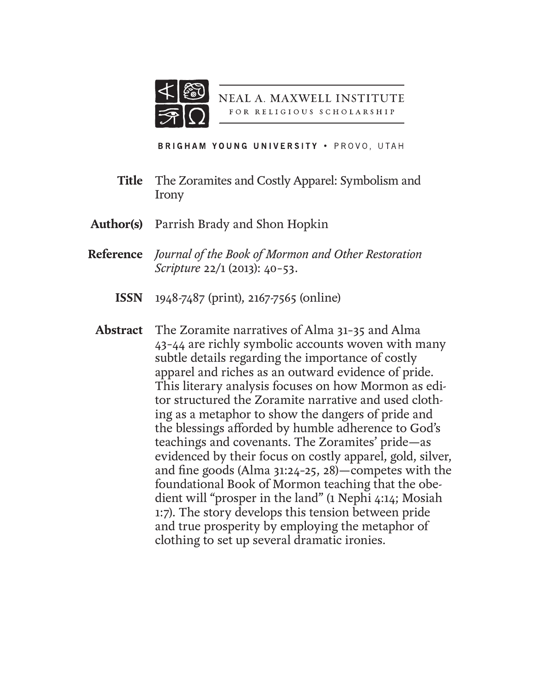

NEAL A. MAXWELL INSTITUTE FOR RELIGIOUS SCHOLARSHIP

**BRIGHAM YOUNG UNIVERSITY . PROVO, UTAH** 

- The Zoramites and Costly Apparel: Symbolism and Irony **Title**
- Parrish Brady and Shon Hopkin **Author(s)**
- *Journal of the Book of Mormon and Other Restoration*  **Reference** *Scripture* 22/1 (2013): 40–53.
	- 1948-7487 (print), 2167-7565 (online) **ISSN**
	- The Zoramite narratives of Alma 31–35 and Alma **Abstract**43–44 are richly symbolic accounts woven with many subtle details regarding the importance of costly apparel and riches as an outward evidence of pride. This literary analysis focuses on how Mormon as editor structured the Zoramite narrative and used clothing as a metaphor to show the dangers of pride and the blessings afforded by humble adherence to God's teachings and covenants. The Zoramites' pride—as evidenced by their focus on costly apparel, gold, silver, and fine goods (Alma 31:24–25, 28)—competes with the foundational Book of Mormon teaching that the obedient will "prosper in the land" (1 Nephi 4:14; Mosiah 1:7). The story develops this tension between pride and true prosperity by employing the metaphor of clothing to set up several dramatic ironies.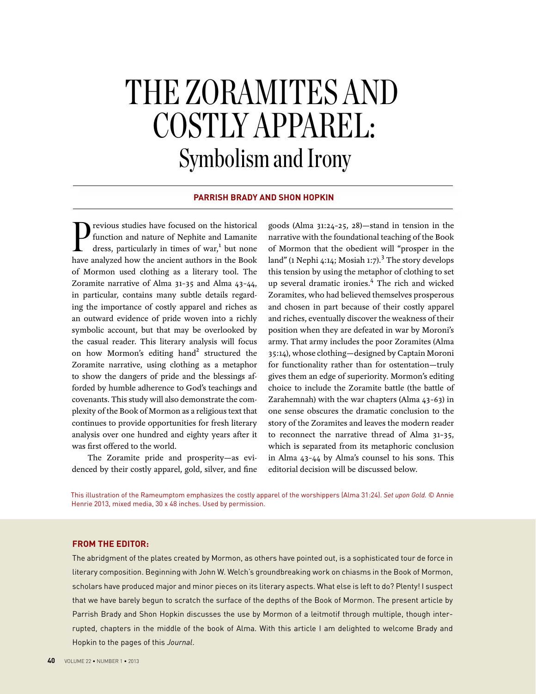# the zoramites and costly apparel: Symbolism and Irony

#### **parrish brady and shon hopkin**

**P** revious studies have focused on the historical function and nature of Nephite and Lamanite dress, particularly in times of war,<sup>1</sup> but none have analyzed how the ancient authors in the Book revious studies have focused on the historical function and nature of Nephite and Lamanite dress, particularly in times of war,<sup>1</sup> but none of Mormon used clothing as a literary tool. The Zoramite narrative of Alma 31–35 and Alma 43–44, in particular, contains many subtle details regarding the importance of costly apparel and riches as an outward evidence of pride woven into a richly symbolic account, but that may be overlooked by the casual reader. This literary analysis will focus on how Mormon's editing hand<sup>2</sup> structured the Zoramite narrative, using clothing as a metaphor to show the dangers of pride and the blessings afforded by humble adherence to God's teachings and covenants. This study will also demonstrate the complexity of the Book of Mormon as a religious text that continues to provide opportunities for fresh literary analysis over one hundred and eighty years after it was first offered to the world.

The Zoramite pride and prosperity—as evidenced by their costly apparel, gold, silver, and fine goods (Alma 31:24–25, 28)—stand in tension in the narrative with the foundational teaching of the Book of Mormon that the obedient will "prosper in the land" (1 Nephi 4:14; Mosiah 1:7).<sup>3</sup> The story develops this tension by using the metaphor of clothing to set up several dramatic ironies.<sup>4</sup> The rich and wicked Zoramites, who had believed themselves prosperous and chosen in part because of their costly apparel and riches, eventually discover the weakness of their position when they are defeated in war by Moroni's army. That army includes the poor Zoramites (Alma 35:14), whose clothing—designed by Captain Moroni for functionality rather than for ostentation—truly gives them an edge of superiority. Mormon's editing choice to include the Zoramite battle (the battle of Zarahemnah) with the war chapters (Alma 43–63) in one sense obscures the dramatic conclusion to the story of the Zoramites and leaves the modern reader to reconnect the narrative thread of Alma 31–35, which is separated from its metaphoric conclusion in Alma 43–44 by Alma's counsel to his sons. This editorial decision will be discussed below.

This illustration of the Rameumptom emphasizes the costly apparel of the worshippers (Alma 31:24). *Set upon Gold.* © Annie Henrie 2013, mixed media, 30 x 48 inches. Used by permission.

#### **FROM THE EDITOR:**

The abridgment of the plates created by Mormon, as others have pointed out, is a sophisticated tour de force in literary composition. Beginning with John W. Welch's groundbreaking work on chiasms in the Book of Mormon, scholars have produced major and minor pieces on its literary aspects. What else is left to do? Plenty! I suspect that we have barely begun to scratch the surface of the depths of the Book of Mormon. The present article by Parrish Brady and Shon Hopkin discusses the use by Mormon of a leitmotif through multiple, though interrupted, chapters in the middle of the book of Alma. With this article I am delighted to welcome Brady and Hopkin to the pages of this *Journal*.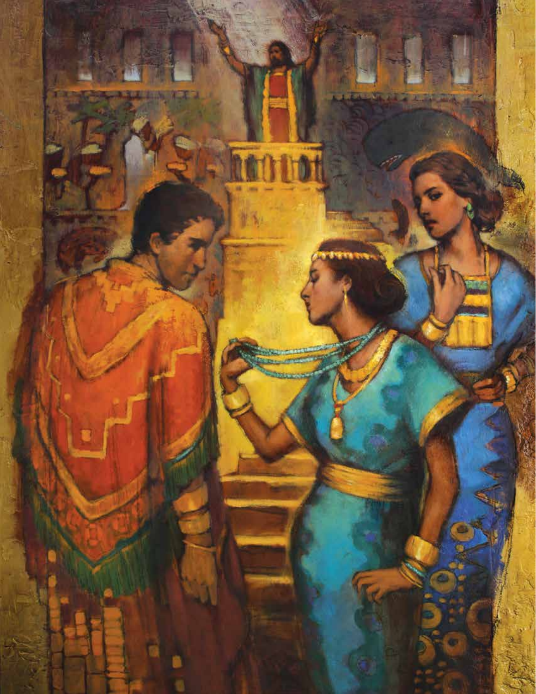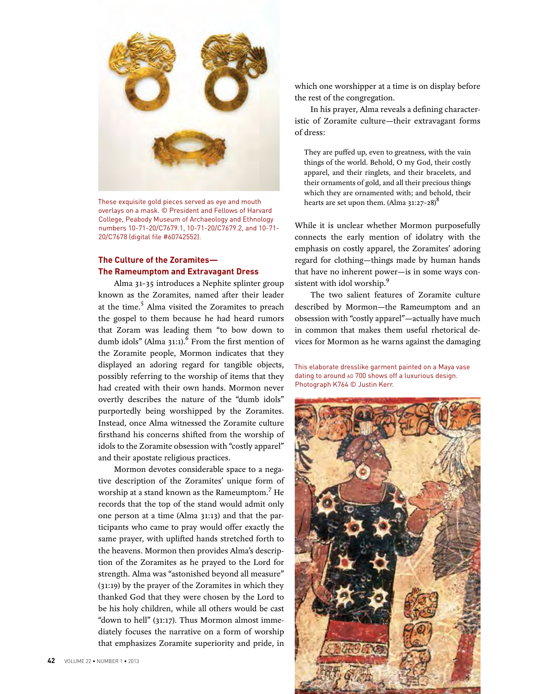

These exquisite gold pieces served as eye and mouth overlays on a mask. © President and Fellows of Harvard College, Peabody Museum of Archaeology and Ethnology numbers 10-71-20/C7679.1, 10-71-20/C7679.2, and 10-71- 20/C7678 (digital file #60742552).

# **The Culture of the Zoramites— The Rameumptom and Extravagant Dress**

Alma 31–35 introduces a Nephite splinter group known as the Zoramites, named after their leader at the time.<sup>5</sup> Alma visited the Zoramites to preach the gospel to them because he had heard rumors that Zoram was leading them "to bow down to dumb idols" (Alma 31:1).<sup>6</sup> From the first mention of the Zoramite people, Mormon indicates that they displayed an adoring regard for tangible objects, possibly referring to the worship of items that they had created with their own hands. Mormon never overtly describes the nature of the "dumb idols" purportedly being worshipped by the Zoramites. Instead, once Alma witnessed the Zoramite culture firsthand his concerns shifted from the worship of idols to the Zoramite obsession with "costly apparel" and their apostate religious practices.

Mormon devotes considerable space to a negative description of the Zoramites' unique form of worship at a stand known as the Rameumptom. $^7\rm\,He$ records that the top of the stand would admit only one person at a time (Alma 31:13) and that the participants who came to pray would offer exactly the same prayer, with uplifted hands stretched forth to the heavens. Mormon then provides Alma's description of the Zoramites as he prayed to the Lord for strength. Alma was "astonished beyond all measure" (31:19) by the prayer of the Zoramites in which they thanked God that they were chosen by the Lord to be his holy children, while all others would be cast "down to hell" (31:17). Thus Mormon almost immediately focuses the narrative on a form of worship that emphasizes Zoramite superiority and pride, in

which one worshipper at a time is on display before the rest of the congregation.

In his prayer, Alma reveals a defining characteristic of Zoramite culture—their extravagant forms of dress:

They are puffed up, even to greatness, with the vain things of the world. Behold, O my God, their costly apparel, and their ringlets, and their bracelets, and their ornaments of gold, and all their precious things which they are ornamented with; and behold, their hearts are set upon them. (Alma  $31:27-28$ )<sup>8</sup>

While it is unclear whether Mormon purposefully connects the early mention of idolatry with the emphasis on costly apparel, the Zoramites' adoring regard for clothing—things made by human hands that have no inherent power—is in some ways consistent with idol worship.<sup>9</sup>

The two salient features of Zoramite culture described by Mormon—the Rameumptom and an obsession with "costly apparel"—actually have much in common that makes them useful rhetorical devices for Mormon as he warns against the damaging

This elaborate dresslike garment painted on a Maya vase dating to around AD 700 shows off a luxurious design. Photograph K764 © Justin Kerr.

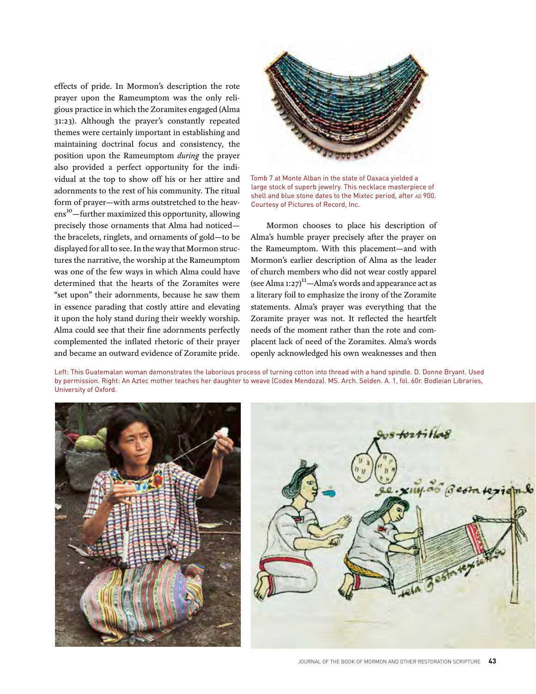effects of pride. In Mormon's description the rote prayer upon the Rameumptom was the only religious practice in which the Zoramites engaged (Alma 31:23). Although the prayer's constantly repeated themes were certainly important in establishing and maintaining doctrinal focus and consistency, the position upon the Rameumptom *during* the prayer also provided a perfect opportunity for the individual at the top to show off his or her attire and adornments to the rest of his community. The ritual form of prayer—with arms outstretched to the heav $ens<sup>10</sup>$ -further maximized this opportunity, allowing precisely those ornaments that Alma had noticed the bracelets, ringlets, and ornaments of gold—to be displayed for all to see. In the way that Mormon structures the narrative, the worship at the Rameumptom was one of the few ways in which Alma could have determined that the hearts of the Zoramites were "set upon" their adornments, because he saw them in essence parading that costly attire and elevating it upon the holy stand during their weekly worship. Alma could see that their fine adornments perfectly complemented the inflated rhetoric of their prayer and became an outward evidence of Zoramite pride.



Tomb 7 at Monte Alban in the state of Oaxaca yielded a large stock of superb jewelry. This necklace masterpiece of shell and blue stone dates to the Mixtec period, after AD 900. Courtesy of Pictures of Record, Inc.

Mormon chooses to place his description of Alma's humble prayer precisely after the prayer on the Rameumptom. With this placement—and with Mormon's earlier description of Alma as the leader of church members who did not wear costly apparel (see Alma 1:27)<sup>11</sup>—Alma's words and appearance act as a literary foil to emphasize the irony of the Zoramite statements. Alma's prayer was everything that the Zoramite prayer was not. It reflected the heartfelt needs of the moment rather than the rote and complacent lack of need of the Zoramites. Alma's words openly acknowledged his own weaknesses and then

Left: This Guatemalan woman demonstrates the laborious process of turning cotton into thread with a hand spindle. D. Donne Bryant. Used by permission. Right: An Aztec mother teaches her daughter to weave (Codex Mendoza). MS. Arch. Selden. A. 1, fol. 60r. Bodleian Libraries, University of Oxford.



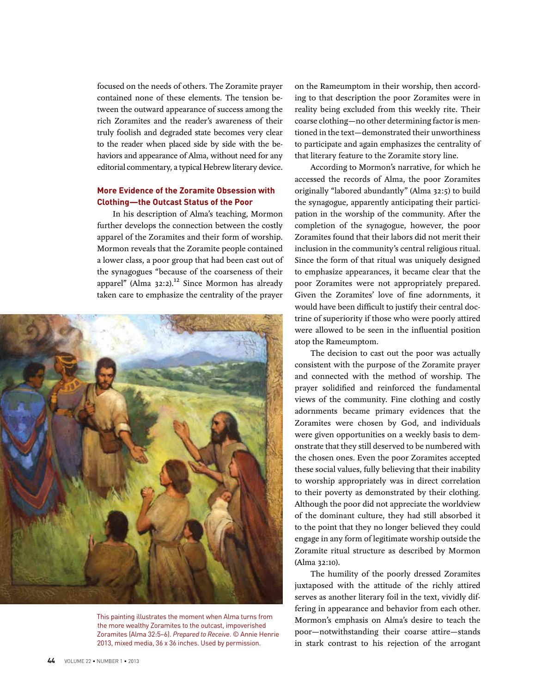focused on the needs of others. The Zoramite prayer contained none of these elements. The tension between the outward appearance of success among the rich Zoramites and the reader's awareness of their truly foolish and degraded state becomes very clear to the reader when placed side by side with the behaviors and appearance of Alma, without need for any editorial commentary, a typical Hebrew literary device.

# **More Evidence of the Zoramite Obsession with Clothing—the Outcast Status of the Poor**

In his description of Alma's teaching, Mormon further develops the connection between the costly apparel of the Zoramites and their form of worship. Mormon reveals that the Zoramite people contained a lower class, a poor group that had been cast out of the synagogues "because of the coarseness of their apparel" (Alma 32:2).<sup>12</sup> Since Mormon has already taken care to emphasize the centrality of the prayer



This painting illustrates the moment when Alma turns from the more wealthy Zoramites to the outcast, impoverished Zoramites (Alma 32:5–6). *Prepared to Receive*. © Annie Henrie 2013, mixed media, 36 x 36 inches. Used by permission.

on the Rameumptom in their worship, then according to that description the poor Zoramites were in reality being excluded from this weekly rite. Their coarse clothing—no other determining factor is mentioned in the text—demonstrated their unworthiness to participate and again emphasizes the centrality of that literary feature to the Zoramite story line.

According to Mormon's narrative, for which he accessed the records of Alma, the poor Zoramites originally "labored abundantly" (Alma 32:5) to build the synagogue, apparently anticipating their participation in the worship of the community. After the completion of the synagogue, however, the poor Zoramites found that their labors did not merit their inclusion in the community's central religious ritual. Since the form of that ritual was uniquely designed to emphasize appearances, it became clear that the poor Zoramites were not appropriately prepared. Given the Zoramites' love of fine adornments, it would have been difficult to justify their central doctrine of superiority if those who were poorly attired were allowed to be seen in the influential position atop the Rameumptom.

The decision to cast out the poor was actually consistent with the purpose of the Zoramite prayer and connected with the method of worship. The prayer solidified and reinforced the fundamental views of the community. Fine clothing and costly adornments became primary evidences that the Zoramites were chosen by God, and individuals were given opportunities on a weekly basis to demonstrate that they still deserved to be numbered with the chosen ones. Even the poor Zoramites accepted these social values, fully believing that their inability to worship appropriately was in direct correlation to their poverty as demonstrated by their clothing. Although the poor did not appreciate the worldview of the dominant culture, they had still absorbed it to the point that they no longer believed they could engage in any form of legitimate worship outside the Zoramite ritual structure as described by Mormon (Alma 32:10).

The humility of the poorly dressed Zoramites juxtaposed with the attitude of the richly attired serves as another literary foil in the text, vividly differing in appearance and behavior from each other. Mormon's emphasis on Alma's desire to teach the poor—notwithstanding their coarse attire—stands in stark contrast to his rejection of the arrogant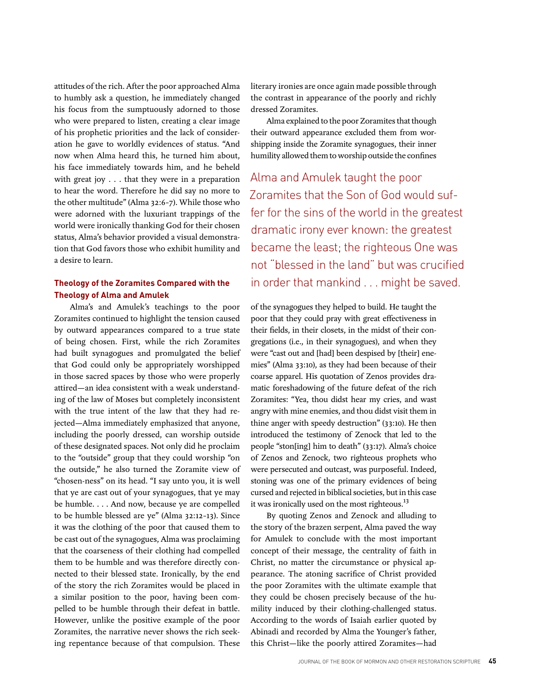attitudes of the rich. After the poor approached Alma to humbly ask a question, he immediately changed his focus from the sumptuously adorned to those who were prepared to listen, creating a clear image of his prophetic priorities and the lack of consideration he gave to worldly evidences of status. "And now when Alma heard this, he turned him about, his face immediately towards him, and he beheld with great joy . . . that they were in a preparation to hear the word. Therefore he did say no more to the other multitude" (Alma 32:6–7). While those who were adorned with the luxuriant trappings of the world were ironically thanking God for their chosen status, Alma's behavior provided a visual demonstration that God favors those who exhibit humility and a desire to learn.

# **Theology of the Zoramites Compared with the Theology of Alma and Amulek**

Alma's and Amulek's teachings to the poor Zoramites continued to highlight the tension caused by outward appearances compared to a true state of being chosen. First, while the rich Zoramites had built synagogues and promulgated the belief that God could only be appropriately worshipped in those sacred spaces by those who were properly attired—an idea consistent with a weak understanding of the law of Moses but completely inconsistent with the true intent of the law that they had rejected—Alma immediately emphasized that anyone, including the poorly dressed, can worship outside of these designated spaces. Not only did he proclaim to the "outside" group that they could worship "on the outside," he also turned the Zoramite view of "chosen-ness" on its head. "I say unto you, it is well that ye are cast out of your synagogues, that ye may be humble. . . . And now, because ye are compelled to be humble blessed are ye" (Alma 32:12–13). Since it was the clothing of the poor that caused them to be cast out of the synagogues, Alma was proclaiming that the coarseness of their clothing had compelled them to be humble and was therefore directly connected to their blessed state. Ironically, by the end of the story the rich Zoramites would be placed in a similar position to the poor, having been compelled to be humble through their defeat in battle. However, unlike the positive example of the poor Zoramites, the narrative never shows the rich seeking repentance because of that compulsion. These

literary ironies are once again made possible through the contrast in appearance of the poorly and richly dressed Zoramites.

Alma explained to the poor Zoramites that though their outward appearance excluded them from worshipping inside the Zoramite synagogues, their inner humility allowed them to worship outside the confines

Alma and Amulek taught the poor Zoramites that the Son of God would suffer for the sins of the world in the greatest dramatic irony ever known: the greatest became the least; the righteous One was not "blessed in the land" but was crucified in order that mankind . . . might be saved.

of the synagogues they helped to build. He taught the poor that they could pray with great effectiveness in their fields, in their closets, in the midst of their congregations (i.e., in their synagogues), and when they were "cast out and [had] been despised by [their] enemies" (Alma 33:10), as they had been because of their coarse apparel. His quotation of Zenos provides dramatic foreshadowing of the future defeat of the rich Zoramites: "Yea, thou didst hear my cries, and wast angry with mine enemies, and thou didst visit them in thine anger with speedy destruction" (33:10). He then introduced the testimony of Zenock that led to the people "ston[ing] him to death" (33:17). Alma's choice of Zenos and Zenock, two righteous prophets who were persecuted and outcast, was purposeful. Indeed, stoning was one of the primary evidences of being cursed and rejected in biblical societies, but in this case it was ironically used on the most righteous.<sup>13</sup>

By quoting Zenos and Zenock and alluding to the story of the brazen serpent, Alma paved the way for Amulek to conclude with the most important concept of their message, the centrality of faith in Christ, no matter the circumstance or physical appearance. The atoning sacrifice of Christ provided the poor Zoramites with the ultimate example that they could be chosen precisely because of the humility induced by their clothing-challenged status. According to the words of Isaiah earlier quoted by Abinadi and recorded by Alma the Younger's father, this Christ—like the poorly attired Zoramites—had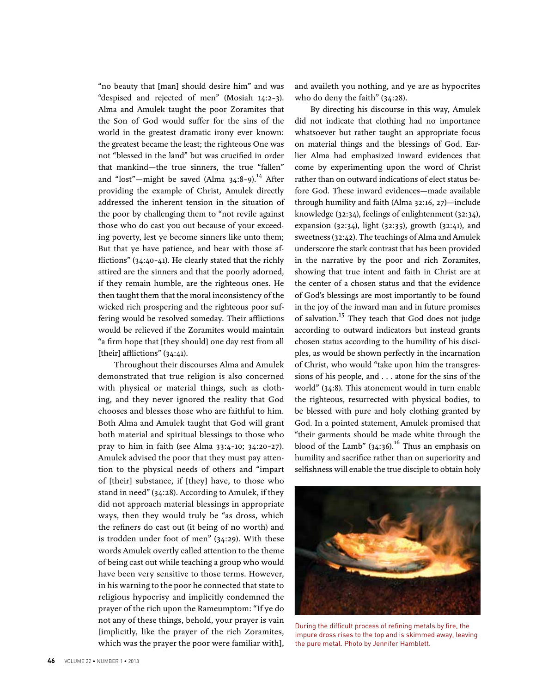"no beauty that [man] should desire him" and was "despised and rejected of men" (Mosiah 14:2–3). Alma and Amulek taught the poor Zoramites that the Son of God would suffer for the sins of the world in the greatest dramatic irony ever known: the greatest became the least; the righteous One was not "blessed in the land" but was crucified in order that mankind—the true sinners, the true "fallen" and "lost"—might be saved (Alma  $34:8-9$ ).<sup>14</sup> After providing the example of Christ, Amulek directly addressed the inherent tension in the situation of the poor by challenging them to "not revile against those who do cast you out because of your exceeding poverty, lest ye become sinners like unto them; But that ye have patience, and bear with those afflictions" (34:40–41). He clearly stated that the richly attired are the sinners and that the poorly adorned, if they remain humble, are the righteous ones. He then taught them that the moral inconsistency of the wicked rich prospering and the righteous poor suffering would be resolved someday. Their afflictions would be relieved if the Zoramites would maintain "a firm hope that [they should] one day rest from all [their] afflictions" (34:41).

Throughout their discourses Alma and Amulek demonstrated that true religion is also concerned with physical or material things, such as clothing, and they never ignored the reality that God chooses and blesses those who are faithful to him. Both Alma and Amulek taught that God will grant both material and spiritual blessings to those who pray to him in faith (see Alma 33:4–10; 34:20–27). Amulek advised the poor that they must pay attention to the physical needs of others and "impart of [their] substance, if [they] have, to those who stand in need" (34:28). According to Amulek, if they did not approach material blessings in appropriate ways, then they would truly be "as dross, which the refiners do cast out (it being of no worth) and is trodden under foot of men" (34:29). With these words Amulek overtly called attention to the theme of being cast out while teaching a group who would have been very sensitive to those terms. However, in his warning to the poor he connected that state to religious hypocrisy and implicitly condemned the prayer of the rich upon the Rameumptom: "If ye do not any of these things, behold, your prayer is vain [implicitly, like the prayer of the rich Zoramites, which was the prayer the poor were familiar with],

and availeth you nothing, and ye are as hypocrites who do deny the faith" (34:28).

By directing his discourse in this way, Amulek did not indicate that clothing had no importance whatsoever but rather taught an appropriate focus on material things and the blessings of God. Earlier Alma had emphasized inward evidences that come by experimenting upon the word of Christ rather than on outward indications of elect status before God. These inward evidences—made available through humility and faith (Alma 32:16, 27)—include knowledge (32:34), feelings of enlightenment (32:34), expansion (32:34), light (32:35), growth (32:41), and sweetness (32:42). The teachings of Alma and Amulek underscore the stark contrast that has been provided in the narrative by the poor and rich Zoramites, showing that true intent and faith in Christ are at the center of a chosen status and that the evidence of God's blessings are most importantly to be found in the joy of the inward man and in future promises of salvation.<sup>15</sup> They teach that God does not judge according to outward indicators but instead grants chosen status according to the humility of his disciples, as would be shown perfectly in the incarnation of Christ, who would "take upon him the transgressions of his people, and . . . atone for the sins of the world" (34:8). This atonement would in turn enable the righteous, resurrected with physical bodies, to be blessed with pure and holy clothing granted by God. In a pointed statement, Amulek promised that "their garments should be made white through the blood of the Lamb" (34:36).<sup>16</sup> Thus an emphasis on humility and sacrifice rather than on superiority and selfishness will enable the true disciple to obtain holy



During the difficult process of refining metals by fire, the impure dross rises to the top and is skimmed away, leaving the pure metal. Photo by Jennifer Hamblett.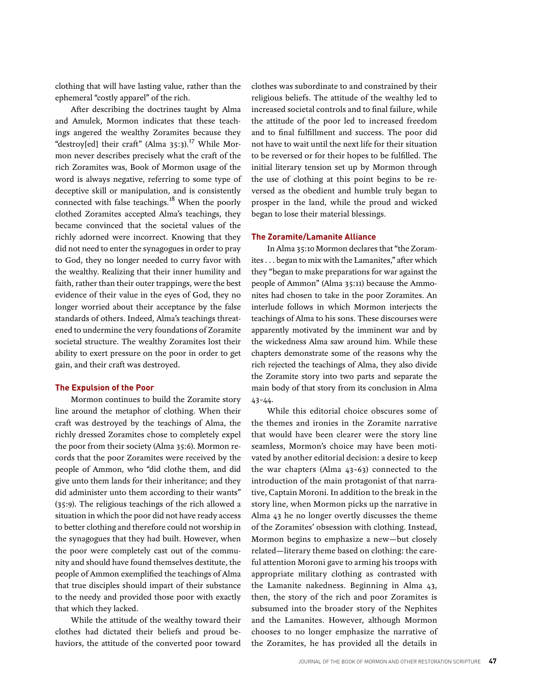clothing that will have lasting value, rather than the ephemeral "costly apparel" of the rich.

After describing the doctrines taught by Alma and Amulek, Mormon indicates that these teachings angered the wealthy Zoramites because they "destroy[ed] their craft" (Alma 35:3). $^{17}$  While Mormon never describes precisely what the craft of the rich Zoramites was, Book of Mormon usage of the word is always negative, referring to some type of deceptive skill or manipulation, and is consistently connected with false teachings.<sup>18</sup> When the poorly clothed Zoramites accepted Alma's teachings, they became convinced that the societal values of the richly adorned were incorrect. Knowing that they did not need to enter the synagogues in order to pray to God, they no longer needed to curry favor with the wealthy. Realizing that their inner humility and faith, rather than their outer trappings, were the best evidence of their value in the eyes of God, they no longer worried about their acceptance by the false standards of others. Indeed, Alma's teachings threatened to undermine the very foundations of Zoramite societal structure. The wealthy Zoramites lost their ability to exert pressure on the poor in order to get gain, and their craft was destroyed.

#### **The Expulsion of the Poor**

Mormon continues to build the Zoramite story line around the metaphor of clothing. When their craft was destroyed by the teachings of Alma, the richly dressed Zoramites chose to completely expel the poor from their society (Alma 35:6). Mormon records that the poor Zoramites were received by the people of Ammon, who "did clothe them, and did give unto them lands for their inheritance; and they did administer unto them according to their wants" (35:9). The religious teachings of the rich allowed a situation in which the poor did not have ready access to better clothing and therefore could not worship in the synagogues that they had built. However, when the poor were completely cast out of the community and should have found themselves destitute, the people of Ammon exemplified the teachings of Alma that true disciples should impart of their substance to the needy and provided those poor with exactly that which they lacked.

While the attitude of the wealthy toward their clothes had dictated their beliefs and proud behaviors, the attitude of the converted poor toward

clothes was subordinate to and constrained by their religious beliefs. The attitude of the wealthy led to increased societal controls and to final failure, while the attitude of the poor led to increased freedom and to final fulfillment and success. The poor did not have to wait until the next life for their situation to be reversed or for their hopes to be fulfilled. The initial literary tension set up by Mormon through the use of clothing at this point begins to be reversed as the obedient and humble truly began to prosper in the land, while the proud and wicked began to lose their material blessings.

#### **The Zoramite/Lamanite Alliance**

In Alma 35:10 Mormon declares that "the Zoramites . . . began to mix with the Lamanites," after which they "began to make preparations for war against the people of Ammon" (Alma 35:11) because the Ammonites had chosen to take in the poor Zoramites. An interlude follows in which Mormon interjects the teachings of Alma to his sons. These discourses were apparently motivated by the imminent war and by the wickedness Alma saw around him. While these chapters demonstrate some of the reasons why the rich rejected the teachings of Alma, they also divide the Zoramite story into two parts and separate the main body of that story from its conclusion in Alma 43–44.

While this editorial choice obscures some of the themes and ironies in the Zoramite narrative that would have been clearer were the story line seamless, Mormon's choice may have been motivated by another editorial decision: a desire to keep the war chapters (Alma 43–63) connected to the introduction of the main protagonist of that narrative, Captain Moroni. In addition to the break in the story line, when Mormon picks up the narrative in Alma 43 he no longer overtly discusses the theme of the Zoramites' obsession with clothing. Instead, Mormon begins to emphasize a new—but closely related—literary theme based on clothing: the careful attention Moroni gave to arming his troops with appropriate military clothing as contrasted with the Lamanite nakedness. Beginning in Alma 43, then, the story of the rich and poor Zoramites is subsumed into the broader story of the Nephites and the Lamanites. However, although Mormon chooses to no longer emphasize the narrative of the Zoramites, he has provided all the details in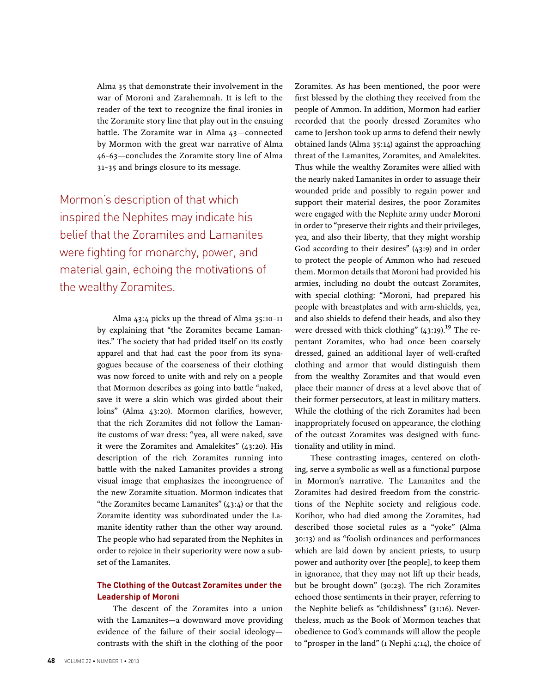Alma 35 that demonstrate their involvement in the war of Moroni and Zarahemnah. It is left to the reader of the text to recognize the final ironies in the Zoramite story line that play out in the ensuing battle. The Zoramite war in Alma 43—connected by Mormon with the great war narrative of Alma 46–63—concludes the Zoramite story line of Alma 31–35 and brings closure to its message.

Mormon's description of that which inspired the Nephites may indicate his belief that the Zoramites and Lamanites were fighting for monarchy, power, and material gain, echoing the motivations of the wealthy Zoramites.

> Alma 43:4 picks up the thread of Alma 35:10–11 by explaining that "the Zoramites became Lamanites." The society that had prided itself on its costly apparel and that had cast the poor from its synagogues because of the coarseness of their clothing was now forced to unite with and rely on a people that Mormon describes as going into battle "naked, save it were a skin which was girded about their loins" (Alma 43:20). Mormon clarifies, however, that the rich Zoramites did not follow the Lamanite customs of war dress: "yea, all were naked, save it were the Zoramites and Amalekites" (43:20). His description of the rich Zoramites running into battle with the naked Lamanites provides a strong visual image that emphasizes the incongruence of the new Zoramite situation. Mormon indicates that "the Zoramites became Lamanites"  $(43:4)$  or that the Zoramite identity was subordinated under the Lamanite identity rather than the other way around. The people who had separated from the Nephites in order to rejoice in their superiority were now a subset of the Lamanites.

## **The Clothing of the Outcast Zoramites under the Leadership of Moroni**

The descent of the Zoramites into a union with the Lamanites—a downward move providing evidence of the failure of their social ideology contrasts with the shift in the clothing of the poor Zoramites. As has been mentioned, the poor were first blessed by the clothing they received from the people of Ammon. In addition, Mormon had earlier recorded that the poorly dressed Zoramites who came to Jershon took up arms to defend their newly obtained lands (Alma 35:14) against the approaching threat of the Lamanites, Zoramites, and Amalekites. Thus while the wealthy Zoramites were allied with the nearly naked Lamanites in order to assuage their wounded pride and possibly to regain power and support their material desires, the poor Zoramites were engaged with the Nephite army under Moroni in order to "preserve their rights and their privileges, yea, and also their liberty, that they might worship God according to their desires" (43:9) and in order to protect the people of Ammon who had rescued them. Mormon details that Moroni had provided his armies, including no doubt the outcast Zoramites, with special clothing: "Moroni, had prepared his people with breastplates and with arm-shields, yea, and also shields to defend their heads, and also they were dressed with thick clothing"  $(43:19)$ .<sup>19</sup> The repentant Zoramites, who had once been coarsely dressed, gained an additional layer of well-crafted clothing and armor that would distinguish them from the wealthy Zoramites and that would even place their manner of dress at a level above that of their former persecutors, at least in military matters. While the clothing of the rich Zoramites had been inappropriately focused on appearance, the clothing of the outcast Zoramites was designed with functionality and utility in mind.

These contrasting images, centered on clothing, serve a symbolic as well as a functional purpose in Mormon's narrative. The Lamanites and the Zoramites had desired freedom from the constrictions of the Nephite society and religious code. Korihor, who had died among the Zoramites, had described those societal rules as a "yoke" (Alma 30:13) and as "foolish ordinances and performances which are laid down by ancient priests, to usurp power and authority over [the people], to keep them in ignorance, that they may not lift up their heads, but be brought down" (30:23). The rich Zoramites echoed those sentiments in their prayer, referring to the Nephite beliefs as "childishness" (31:16). Nevertheless, much as the Book of Mormon teaches that obedience to God's commands will allow the people to "prosper in the land" (1 Nephi 4:14), the choice of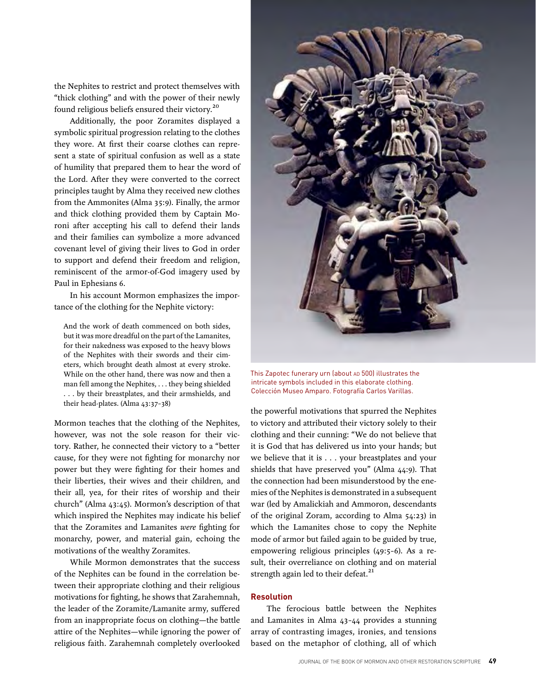the Nephites to restrict and protect themselves with "thick clothing" and with the power of their newly found religious beliefs ensured their victory.20

Additionally, the poor Zoramites displayed a symbolic spiritual progression relating to the clothes they wore. At first their coarse clothes can represent a state of spiritual confusion as well as a state of humility that prepared them to hear the word of the Lord. After they were converted to the correct principles taught by Alma they received new clothes from the Ammonites (Alma 35:9). Finally, the armor and thick clothing provided them by Captain Moroni after accepting his call to defend their lands and their families can symbolize a more advanced covenant level of giving their lives to God in order to support and defend their freedom and religion, reminiscent of the armor-of-God imagery used by Paul in Ephesians 6.

In his account Mormon emphasizes the importance of the clothing for the Nephite victory:

And the work of death commenced on both sides, but it was more dreadful on the part of the Lamanites, for their nakedness was exposed to the heavy blows of the Nephites with their swords and their cimeters, which brought death almost at every stroke. While on the other hand, there was now and then a man fell among the Nephites, . . . they being shielded . . . by their breastplates, and their armshields, and their head-plates. (Alma 43:37–38)

Mormon teaches that the clothing of the Nephites, however, was not the sole reason for their victory. Rather, he connected their victory to a "better cause, for they were not fighting for monarchy nor power but they were fighting for their homes and their liberties, their wives and their children, and their all, yea, for their rites of worship and their church" (Alma 43:45). Mormon's description of that which inspired the Nephites may indicate his belief that the Zoramites and Lamanites *were* fighting for monarchy, power, and material gain, echoing the motivations of the wealthy Zoramites.

While Mormon demonstrates that the success of the Nephites can be found in the correlation between their appropriate clothing and their religious motivations for fighting, he shows that Zarahemnah, the leader of the Zoramite/Lamanite army, suffered from an inappropriate focus on clothing—the battle attire of the Nephites—while ignoring the power of religious faith. Zarahemnah completely overlooked



This Zapotec funerary urn (about AD 500) illustrates the intricate symbols included in this elaborate clothing. Colección Museo Amparo. Fotografía Carlos Varillas.

the powerful motivations that spurred the Nephites to victory and attributed their victory solely to their clothing and their cunning: "We do not believe that it is God that has delivered us into your hands; but we believe that it is . . . your breastplates and your shields that have preserved you" (Alma 44:9). That the connection had been misunderstood by the enemies of the Nephites is demonstrated in a subsequent war (led by Amalickiah and Ammoron, descendants of the original Zoram, according to Alma 54:23) in which the Lamanites chose to copy the Nephite mode of armor but failed again to be guided by true, empowering religious principles (49:5–6). As a result, their overreliance on clothing and on material strength again led to their defeat.<sup>21</sup>

### **Resolution**

The ferocious battle between the Nephites and Lamanites in Alma 43–44 provides a stunning array of contrasting images, ironies, and tensions based on the metaphor of clothing, all of which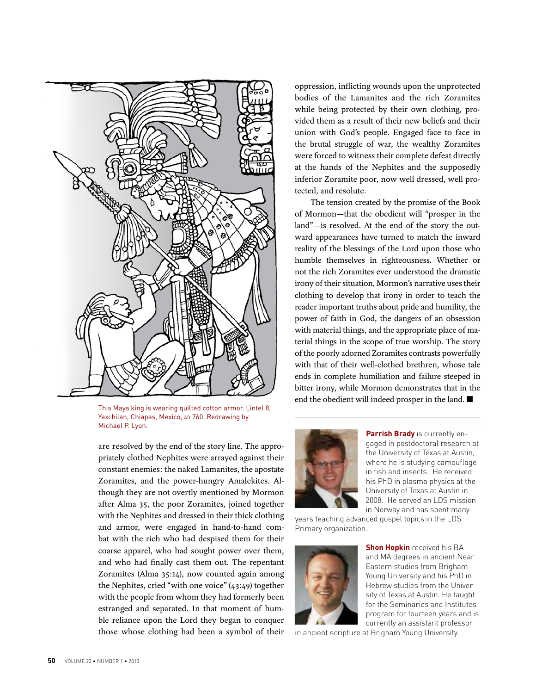

This Maya king is wearing quilted cotton armor. Lintel 8, Yaxchilan, Chiapas, Mexico, AD 760. Redrawing by Michael P. Lyon.

are resolved by the end of the story line. The appropriately clothed Nephites were arrayed against their constant enemies: the naked Lamanites, the apostate Zoramites, and the power-hungry Amalekites. Although they are not overtly mentioned by Mormon after Alma 35, the poor Zoramites, joined together with the Nephites and dressed in their thick clothing and armor, were engaged in hand-to-hand combat with the rich who had despised them for their coarse apparel, who had sought power over them, and who had finally cast them out. The repentant Zoramites (Alma 35:14), now counted again among the Nephites, cried "with one voice" (43:49) together with the people from whom they had formerly been estranged and separated. In that moment of humble reliance upon the Lord they began to conquer those whose clothing had been a symbol of their oppression, inflicting wounds upon the unprotected bodies of the Lamanites and the rich Zoramites while being protected by their own clothing, provided them as a result of their new beliefs and their union with God's people. Engaged face to face in the brutal struggle of war, the wealthy Zoramites were forced to witness their complete defeat directly at the hands of the Nephites and the supposedly inferior Zoramite poor, now well dressed, well protected, and resolute.

The tension created by the promise of the Book of Mormon—that the obedient will "prosper in the land"—is resolved. At the end of the story the outward appearances have turned to match the inward reality of the blessings of the Lord upon those who humble themselves in righteousness. Whether or not the rich Zoramites ever understood the dramatic irony of their situation, Mormon's narrative uses their clothing to develop that irony in order to teach the reader important truths about pride and humility, the power of faith in God, the dangers of an obsession with material things, and the appropriate place of material things in the scope of true worship. The story of the poorly adorned Zoramites contrasts powerfully with that of their well-clothed brethren, whose tale ends in complete humiliation and failure steeped in bitter irony, while Mormon demonstrates that in the end the obedient will indeed prosper in the land.  $\blacksquare$ 



**Parrish Brady** is currently engaged in postdoctoral research at the University of Texas at Austin, where he is studying camouflage in fish and insects. He received his PhD in plasma physics at the University of Texas at Austin in 2008. He served an LDS mission in Norway and has spent many

years teaching advanced gospel topics in the LDS Primary organization.



**Shon Hopkin** received his BA and MA degrees in ancient Near Eastern studies from Brigham Young University and his PhD in Hebrew studies from the University of Texas at Austin. He taught for the Seminaries and Institutes program for fourteen years and is currently an assistant professor

in ancient scripture at Brigham Young University.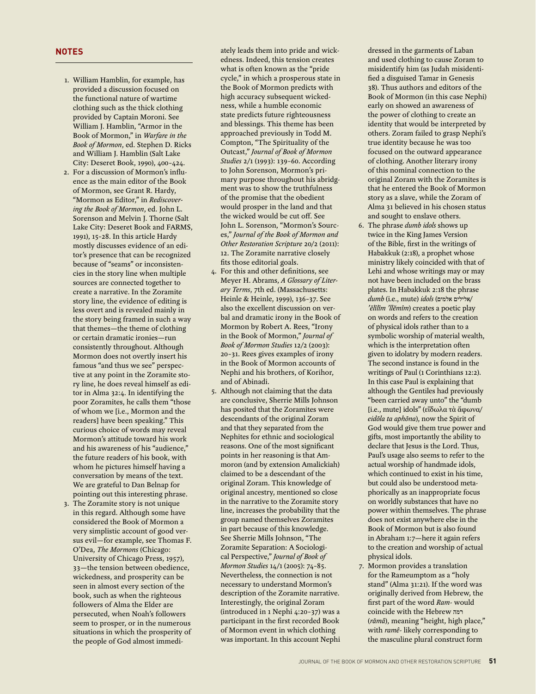#### **Notes**

- 1. William Hamblin, for example, has provided a discussion focused on the functional nature of wartime clothing such as the thick clothing provided by Captain Moroni. See William J. Hamblin, "Armor in the Book of Mormon," in *Warfare in the Book of Mormon*, ed. Stephen D. Ricks and William J. Hamblin (Salt Lake City: Deseret Book, 1990), 400–424.
- 2. For a discussion of Mormon's influence as the main editor of the Book of Mormon, see Grant R. Hardy, "Mormon as Editor," in *Rediscovering the Book of Mormon*, ed. John L. Sorenson and Melvin J. Thorne (Salt Lake City: Deseret Book and FARMS, 1991), 15–28. In this article Hardy mostly discusses evidence of an editor's presence that can be recognized because of "seams" or inconsistencies in the story line when multiple sources are connected together to create a narrative. In the Zoramite story line, the evidence of editing is less overt and is revealed mainly in the story being framed in such a way that themes—the theme of clothing or certain dramatic ironies—run consistently throughout. Although Mormon does not overtly insert his famous "and thus we see" perspective at any point in the Zoramite story line, he does reveal himself as editor in Alma 32:4. In identifying the poor Zoramites, he calls them "those of whom we [i.e., Mormon and the readers] have been speaking." This curious choice of words may reveal Mormon's attitude toward his work and his awareness of his "audience," the future readers of his book, with whom he pictures himself having a conversation by means of the text. We are grateful to Dan Belnap for pointing out this interesting phrase.
- 3. The Zoramite story is not unique in this regard. Although some have considered the Book of Mormon a very simplistic account of good versus evil—for example, see Thomas F. O'Dea, *The Mormons* (Chicago: University of Chicago Press, 1957), 33—the tension between obedience, wickedness, and prosperity can be seen in almost every section of the book, such as when the righteous followers of Alma the Elder are persecuted, when Noah's followers seem to prosper, or in the numerous situations in which the prosperity of the people of God almost immedi-

ately leads them into pride and wickedness. Indeed, this tension creates what is often known as the "pride cycle," in which a prosperous state in the Book of Mormon predicts with high accuracy subsequent wickedness, while a humble economic state predicts future righteousness and blessings. This theme has been approached previously in Todd M. Compton, "The Spirituality of the Outcast," *Journal of Book of Mormon Studies* 2/1 (1993): 139–60. According to John Sorenson, Mormon's primary purpose throughout his abridgment was to show the truthfulness of the promise that the obedient would prosper in the land and that the wicked would be cut off. See John L. Sorenson, "Mormon's Sources," *Journal of the Book of Mormon and Other Restoration Scripture* 20/2 (2011): 12. The Zoramite narrative closely fits those editorial goals.

- 4. For this and other definitions, see Meyer H. Abrams, *A Glossary of Literary Terms*, 7th ed. (Massachusetts: Heinle & Heinle, 1999), 136–37. See also the excellent discussion on verbal and dramatic irony in the Book of Mormon by Robert A. Rees, "Irony in the Book of Mormon," *Journal of Book of Mormon Studies* 12/2 (2003): 20–31. Rees gives examples of irony in the Book of Mormon accounts of Nephi and his brothers, of Korihor, and of Abinadi.
- 5. Although not claiming that the data are conclusive, Sherrie Mills Johnson has posited that the Zoramites were descendants of the original Zoram and that they separated from the Nephites for ethnic and sociological reasons. One of the most significant points in her reasoning is that Ammoron (and by extension Amalickiah) claimed to be a descendant of the original Zoram. This knowledge of original ancestry, mentioned so close in the narrative to the Zoramite story line, increases the probability that the group named themselves Zoramites in part because of this knowledge. See Sherrie Mills Johnson, "The Zoramite Separation: A Sociological Perspective," *Journal of Book of Mormon Studies* 14/1 (2005): 74–85. Nevertheless, the connection is not necessary to understand Mormon's description of the Zoramite narrative. Interestingly, the original Zoram (introduced in 1 Nephi 4:20–37) was a participant in the first recorded Book of Mormon event in which clothing was important. In this account Nephi

dressed in the garments of Laban and used clothing to cause Zoram to misidentify him (as Judah misidentified a disguised Tamar in Genesis 38). Thus authors and editors of the Book of Mormon (in this case Nephi) early on showed an awareness of the power of clothing to create an identity that would be interpreted by others. Zoram failed to grasp Nephi's true identity because he was too focused on the outward appearance of clothing. Another literary irony of this nominal connection to the original Zoram with the Zoramites is that he entered the Book of Mormon story as a slave, while the Zoram of Alma 31 believed in his chosen status and sought to enslave others.

- 6. The phrase *dumb idols* shows up twice in the King James Version of the Bible, first in the writings of Habakkuk (2:18), a prophet whose ministry likely coincided with that of Lehi and whose writings may or may not have been included on the brass plates. In Habakkuk 2:18 the phrase *dumb* (i.e., mute) *idols* (אלמים אלילים/ *'ělîlîm 'llĕmîm*) creates a poetic play on words and refers to the creation of physical idols rather than to a symbolic worship of material wealth, which is the interpretation often given to idolatry by modern readers. The second instance is found in the writings of Paul (1 Corinthians 12:2). In this case Paul is explaining that although the Gentiles had previously "been carried away unto" the "dumb [i.e., mute] idols" (εἴδωλα τὰ ἄφωνα/ *eidōla ta aphōna*), now the Spirit of God would give them true power and gifts, most importantly the ability to declare that Jesus is the Lord. Thus, Paul's usage also seems to refer to the actual worship of handmade idols, which continued to exist in his time, but could also be understood metaphorically as an inappropriate focus on worldly substances that have no power within themselves. The phrase does not exist anywhere else in the Book of Mormon but is also found in Abraham 1:7—here it again refers to the creation and worship of actual physical idols.
- 7. Mormon provides a translation for the Rameumptom as a "holy stand" (Alma 31:21). If the word was originally derived from Hebrew, the first part of the word *Ram*- would coincide with the Hebrew רמה (*rāmâ*), meaning "height, high place," with *ramê-* likely corresponding to the masculine plural construct form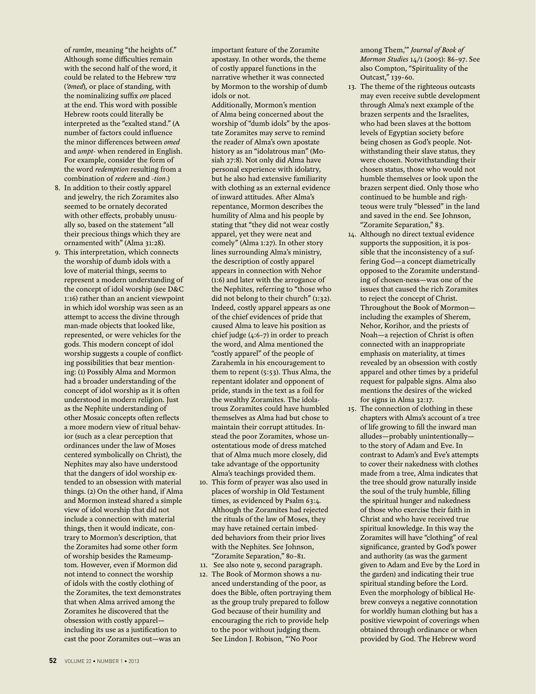of *ramîm*, meaning "the heights of." Although some difficulties remain with the second half of the word, it could be related to the Hebrew עומד (*'omed*), or place of standing, with the nominalizing suffix *om* placed at the end. This word with possible Hebrew roots could literally be interpreted as the "exalted stand." (A number of factors could influence the minor differences between *omed*  and *umpt-* when rendered in English. For example, consider the form of the word *redemption* resulting from a combination of *redeem* and -*tion*.)

- 8. In addition to their costly apparel and jewelry, the rich Zoramites also seemed to be ornately decorated with other effects, probably unusually so, based on the statement "all their precious things which they are ornamented with" (Alma 31:28).
- 9. This interpretation, which connects the worship of dumb idols with a love of material things, seems to represent a modern understanding of the concept of idol worship (see D&C 1:16) rather than an ancient viewpoint in which idol worship was seen as an attempt to access the divine through man-made objects that looked like, represented, or were vehicles for the gods. This modern concept of idol worship suggests a couple of conflicting possibilities that bear mentioning: (1) Possibly Alma and Mormon had a broader understanding of the concept of idol worship as it is often understood in modern religion. Just as the Nephite understanding of other Mosaic concepts often reflects a more modern view of ritual behavior (such as a clear perception that ordinances under the law of Moses centered symbolically on Christ), the Nephites may also have understood that the dangers of idol worship extended to an obsession with material things. (2) On the other hand, if Alma and Mormon instead shared a simple view of idol worship that did not include a connection with material things, then it would indicate, contrary to Mormon's description, that the Zoramites had some other form of worship besides the Rameumptom. However, even if Mormon did not intend to connect the worship of idols with the costly clothing of the Zoramites, the text demonstrates that when Alma arrived among the Zoramites he discovered that the obsession with costly apparel including its use as a justification to cast the poor Zoramites out—was an

important feature of the Zoramite apostasy. In other words, the theme of costly apparel functions in the narrative whether it was connected by Mormon to the worship of dumb idols or not.

Additionally, Mormon's mention of Alma being concerned about the worship of "dumb idols" by the apostate Zoramites may serve to remind the reader of Alma's own apostate history as an "idolatrous man" (Mosiah 27:8). Not only did Alma have personal experience with idolatry, but he also had extensive familiarity with clothing as an external evidence of inward attitudes. After Alma's repentance, Mormon describes the humility of Alma and his people by stating that "they did not wear costly apparel, yet they were neat and comely" (Alma 1:27). In other story lines surrounding Alma's ministry, the description of costly apparel appears in connection with Nehor (1:6) and later with the arrogance of the Nephites, referring to "those who did not belong to their church" (1:32). Indeed, costly apparel appears as one of the chief evidences of pride that caused Alma to leave his position as chief judge (4:6–7) in order to preach the word, and Alma mentioned the "costly apparel" of the people of Zarahemla in his encouragement to them to repent (5:53). Thus Alma, the repentant idolater and opponent of pride, stands in the text as a foil for the wealthy Zoramites. The idolatrous Zoramites could have humbled themselves as Alma had but chose to maintain their corrupt attitudes. Instead the poor Zoramites, whose unostentatious mode of dress matched that of Alma much more closely, did take advantage of the opportunity Alma's teachings provided them.

- 10. This form of prayer was also used in places of worship in Old Testament times, as evidenced by Psalm 63:4. Although the Zoramites had rejected the rituals of the law of Moses, they may have retained certain imbedded behaviors from their prior lives with the Nephites. See Johnson, "Zoramite Separation," 80–81.
- 11. See also note 9, second paragraph.
- 12. The Book of Mormon shows a nuanced understanding of the poor, as does the Bible, often portraying them as the group truly prepared to follow God because of their humility and encouraging the rich to provide help to the poor without judging them. See Lindon J. Robison, "'No Poor

among Them,'" *Journal of Book of Mormon Studies* 14/1 (2005): 86–97. See also Compton, "Spirituality of the Outcast," 139–60.

- 13. The theme of the righteous outcasts may even receive subtle development through Alma's next example of the brazen serpents and the Israelites, who had been slaves at the bottom levels of Egyptian society before being chosen as God's people. Notwithstanding their slave status, they were chosen. Notwithstanding their chosen status, those who would not humble themselves or look upon the brazen serpent died. Only those who continued to be humble and righteous were truly "blessed" in the land and saved in the end. See Johnson, "Zoramite Separation," 83.
- 14. Although no direct textual evidence supports the supposition, it is possible that the inconsistency of a suffering God—a concept diametrically opposed to the Zoramite understanding of chosen-ness—was one of the issues that caused the rich Zoramites to reject the concept of Christ. Throughout the Book of Mormon including the examples of Sherem, Nehor, Korihor, and the priests of Noah—a rejection of Christ is often connected with an inappropriate emphasis on materiality, at times revealed by an obsession with costly apparel and other times by a prideful request for palpable signs. Alma also mentions the desires of the wicked for signs in Alma 32:17.
- 15. The connection of clothing in these chapters with Alma's account of a tree of life growing to fill the inward man alludes—probably unintentionally to the story of Adam and Eve. In contrast to Adam's and Eve's attempts to cover their nakedness with clothes made from a tree, Alma indicates that the tree should grow naturally inside the soul of the truly humble, filling the spiritual hunger and nakedness of those who exercise their faith in Christ and who have received true spiritual knowledge. In this way the Zoramites will have "clothing" of real significance, granted by God's power and authority (as was the garment given to Adam and Eve by the Lord in the garden) and indicating their true spiritual standing before the Lord. Even the morphology of biblical Hebrew conveys a negative connotation for worldly human clothing but has a positive viewpoint of coverings when obtained through ordinance or when provided by God. The Hebrew word